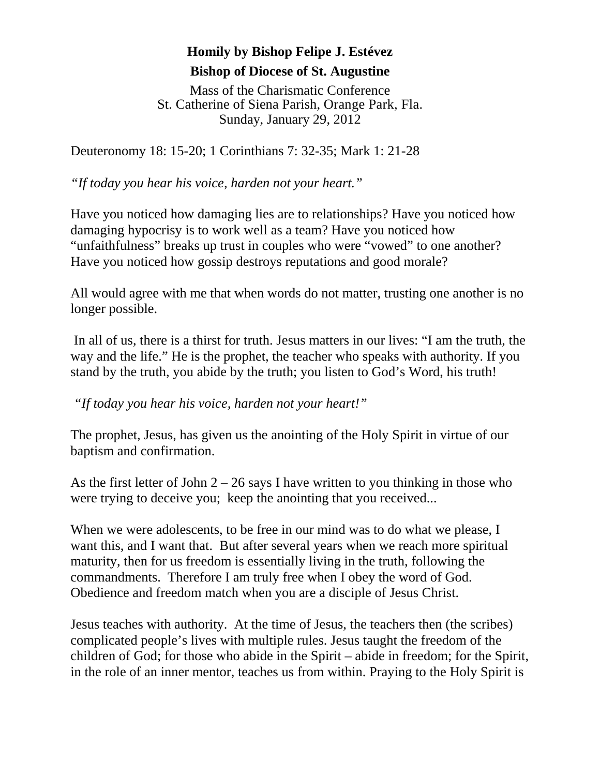## **Homily by Bishop Felipe J. Estévez Bishop of Diocese of St. Augustine**

Mass of the Charismatic Conference St. Catherine of Siena Parish, Orange Park, Fla. Sunday, January 29, 2012

Deuteronomy 18: 15-20; 1 Corinthians 7: 32-35; Mark 1: 21-28

*"If today you hear his voice, harden not your heart."* 

Have you noticed how damaging lies are to relationships? Have you noticed how damaging hypocrisy is to work well as a team? Have you noticed how "unfaithfulness" breaks up trust in couples who were "vowed" to one another? Have you noticed how gossip destroys reputations and good morale?

All would agree with me that when words do not matter, trusting one another is no longer possible.

 In all of us, there is a thirst for truth. Jesus matters in our lives: "I am the truth, the way and the life." He is the prophet, the teacher who speaks with authority. If you stand by the truth, you abide by the truth; you listen to God's Word, his truth!

 *"If today you hear his voice, harden not your heart!"* 

The prophet, Jesus, has given us the anointing of the Holy Spirit in virtue of our baptism and confirmation.

As the first letter of John  $2 - 26$  says I have written to you thinking in those who were trying to deceive you; keep the anointing that you received...

When we were adolescents, to be free in our mind was to do what we please, I want this, and I want that. But after several years when we reach more spiritual maturity, then for us freedom is essentially living in the truth, following the commandments. Therefore I am truly free when I obey the word of God. Obedience and freedom match when you are a disciple of Jesus Christ.

Jesus teaches with authority. At the time of Jesus, the teachers then (the scribes) complicated people's lives with multiple rules. Jesus taught the freedom of the children of God; for those who abide in the Spirit – abide in freedom; for the Spirit, in the role of an inner mentor, teaches us from within. Praying to the Holy Spirit is